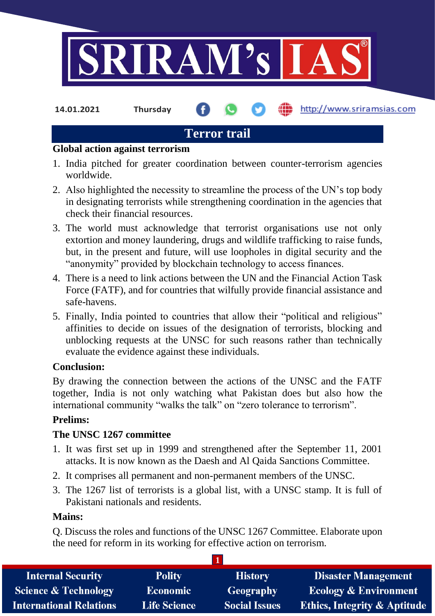

**14.01.2021 Thursday**

http://www.sriramsias.com

# **Terror trail**

### **Global action against terrorism**

- 1. India pitched for greater coordination between counter-terrorism agencies worldwide.
- 2. Also highlighted the necessity to streamline the process of the UN's top body in designating terrorists while strengthening coordination in the agencies that check their financial resources.
- 3. The world must acknowledge that terrorist organisations use not only extortion and money laundering, drugs and wildlife trafficking to raise funds, but, in the present and future, will use loopholes in digital security and the "anonymity" provided by blockchain technology to access finances.
- 4. There is a need to link actions between the UN and the Financial Action Task Force (FATF), and for countries that wilfully provide financial assistance and safe-havens.
- 5. Finally, India pointed to countries that allow their "political and religious" affinities to decide on issues of the designation of terrorists, blocking and unblocking requests at the UNSC for such reasons rather than technically evaluate the evidence against these individuals.

# **Conclusion:**

By drawing the connection between the actions of the UNSC and the FATF together, India is not only watching what Pakistan does but also how the international community "walks the talk" on "zero tolerance to terrorism".

# **Prelims:**

# **The UNSC 1267 committee**

- 1. It was first set up in 1999 and strengthened after the September 11, 2001 attacks. It is now known as the Daesh and Al Qaida Sanctions Committee.
- 2. It comprises all permanent and non-permanent members of the UNSC.
- 3. The 1267 list of terrorists is a global list, with a UNSC stamp. It is full of Pakistani nationals and residents.

### **Mains:**

Q. Discuss the roles and functions of the UNSC 1267 Committee. Elaborate upon the need for reform in its working for effective action on terrorism.

| <b>Internal Security</b>        | <b>Polity</b>       | <b>History</b>       | <b>Disaster Management</b>              |
|---------------------------------|---------------------|----------------------|-----------------------------------------|
| <b>Science &amp; Technology</b> | <b>Economic</b>     | Geography            | <b>Ecology &amp; Environment</b>        |
| <b>International Relations</b>  | <b>Life Science</b> | <b>Social Issues</b> | <b>Ethics, Integrity &amp; Aptitude</b> |